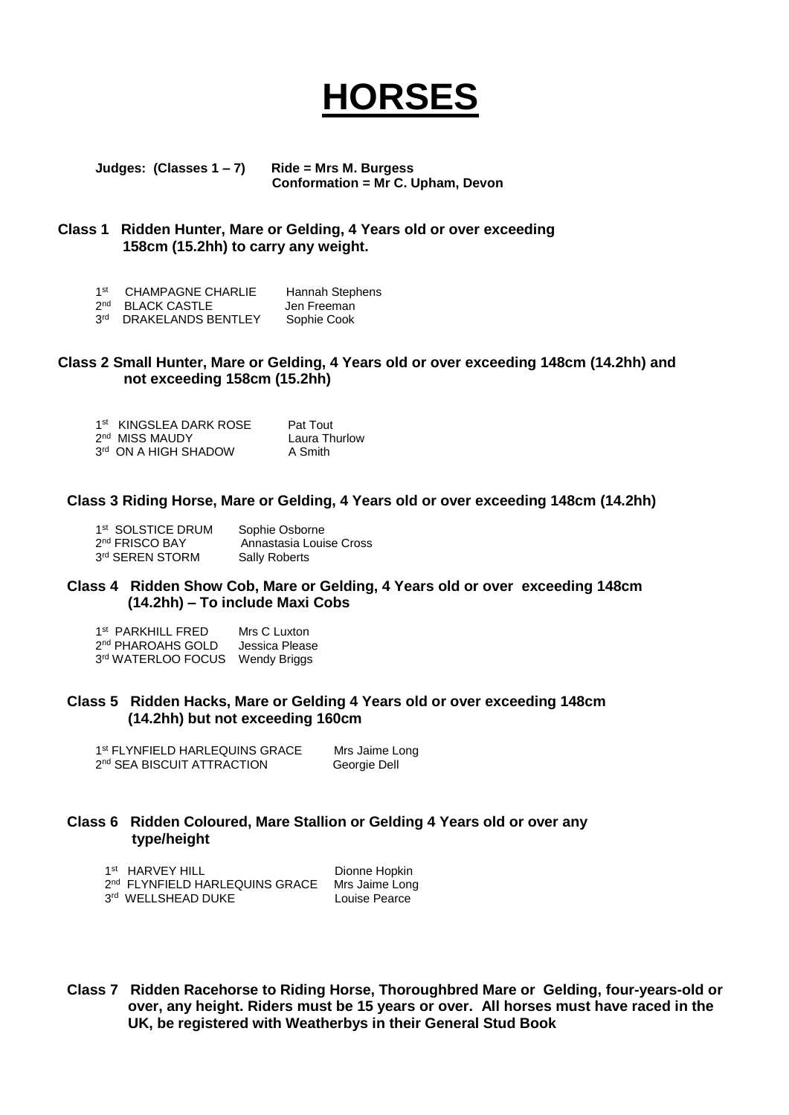# **HORSES**

**Judges: (Classes 1 – 7) Ride = Mrs M. Burgess Conformation = Mr C. Upham, Devon**

## **Class 1 Ridden Hunter, Mare or Gelding, 4 Years old or over exceeding 158cm (15.2hh) to carry any weight.**

- 1<sup>st</sup> CHAMPAGNE CHARLIE Hannah Stephens<br>2<sup>nd</sup> BLACK CASTLE Len Freeman
- 2<sup>nd</sup> BLACK CASTLE **Jen Freeman**

#### 3rd DRAKELANDS BENTLEY Sophie Cook

## **Class 2 Small Hunter, Mare or Gelding, 4 Years old or over exceeding 148cm (14.2hh) and not exceeding 158cm (15.2hh)**

| 1st KINGSLEA DARK ROSE     | Pat Tout      |
|----------------------------|---------------|
| 2 <sup>nd</sup> MISS MAUDY | Laura Thurlow |
| 3rd ON A HIGH SHADOW       | A Smith       |

#### **Class 3 Riding Horse, Mare or Gelding, 4 Years old or over exceeding 148cm (14.2hh)**

| 1 <sup>st</sup> SOLSTICE DRUM | Sophie Osborne          |
|-------------------------------|-------------------------|
| 2 <sup>nd</sup> FRISCO BAY    | Annastasia Louise Cross |
| 3rd SEREN STORM               | <b>Sally Roberts</b>    |

#### **Class 4 Ridden Show Cob, Mare or Gelding, 4 Years old or over exceeding 148cm (14.2hh) – To include Maxi Cobs**

| 1st PARKHILL FRED             | Mrs C Luxton   |
|-------------------------------|----------------|
| 2 <sup>nd</sup> PHAROAHS GOLD | Jessica Please |
| 3rd WATERLOO FOCUS            | Wendy Briggs   |

#### **Class 5 Ridden Hacks, Mare or Gelding 4 Years old or over exceeding 148cm (14.2hh) but not exceeding 160cm**

| 1st FLYNFIELD HARLEQUINS GRACE         | Mrs Jaime Long |
|----------------------------------------|----------------|
| 2 <sup>nd</sup> SEA BISCUIT ATTRACTION | Georgie Dell   |

#### **Class 6 Ridden Coloured, Mare Stallion or Gelding 4 Years old or over any type/height**

| 1 <sup>st</sup> HARVEY HILL                | Dionne Hopkin  |
|--------------------------------------------|----------------|
| 2 <sup>nd</sup> FLYNFIELD HARLEQUINS GRACE | Mrs Jaime Long |
| 3rd WELLSHEAD DUKE                         | Louise Pearce  |

**Class 7 Ridden Racehorse to Riding Horse, Thoroughbred Mare or Gelding, four-years-old or over, any height. Riders must be 15 years or over. All horses must have raced in the UK, be registered with Weatherbys in their General Stud Book**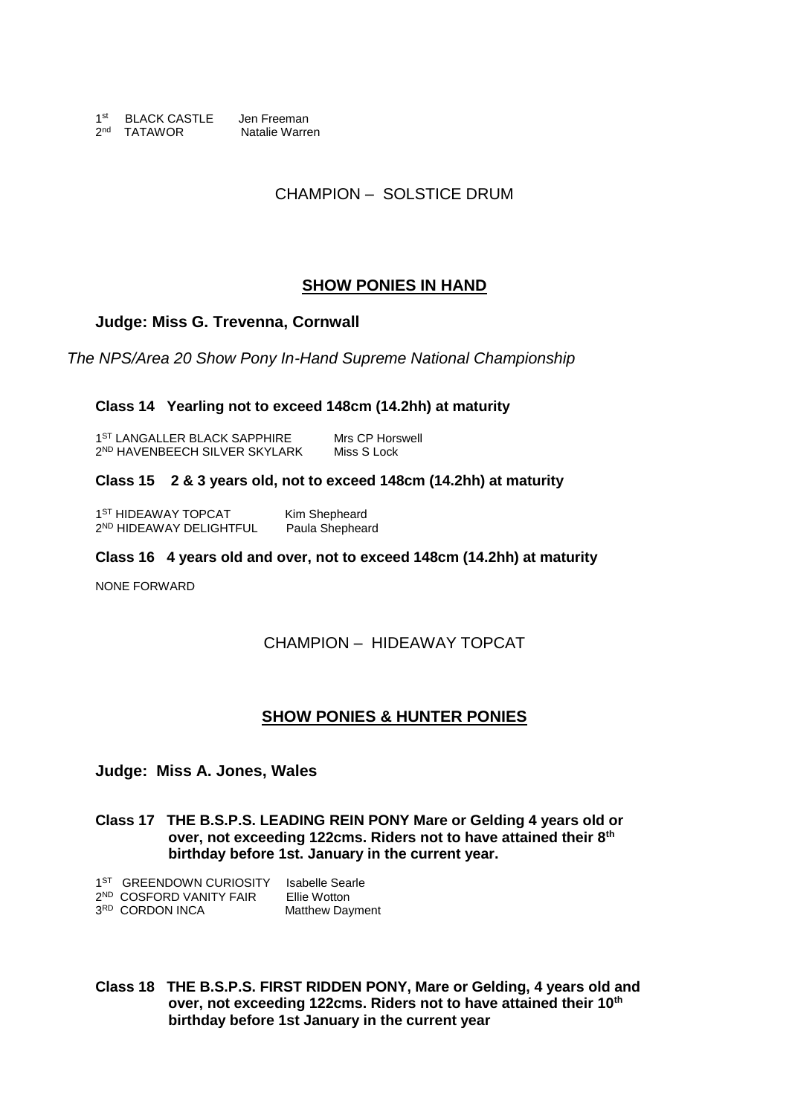1<sup>st</sup> BLACK CASTLE Jen Freeman 2<sup>nd</sup> TATAWOR Natalie Warren

CHAMPION – SOLSTICE DRUM

# **SHOW PONIES IN HAND**

## **Judge: Miss G. Trevenna, Cornwall**

*The NPS/Area 20 Show Pony In-Hand Supreme National Championship*

## **Class 14 Yearling not to exceed 148cm (14.2hh) at maturity**

1<sup>ST</sup> LANGALLER BLACK SAPPHIRE Mrs CP Horswell 2 ND HAVENBEECH SILVER SKYLARK Miss S Lock

## **Class 15 2 & 3 years old, not to exceed 148cm (14.2hh) at maturity**

1<sup>ST</sup> HIDEAWAY TOPCAT Kim Shepheard 2<sup>ND</sup> HIDEAWAY DELIGHTFUL Paula Shepheard

#### **Class 16 4 years old and over, not to exceed 148cm (14.2hh) at maturity**

NONE FORWARD

## CHAMPION – HIDEAWAY TOPCAT

## **SHOW PONIES & HUNTER PONIES**

**Judge: Miss A. Jones, Wales**

**Class 17 THE B.S.P.S. LEADING REIN PONY Mare or Gelding 4 years old or over, not exceeding 122cms. Riders not to have attained their 8th birthday before 1st. January in the current year.**

| 1 <sup>ST</sup> GREENDOWN CURIOSITY | Isabelle Searle        |
|-------------------------------------|------------------------|
| 2 <sup>ND</sup> COSFORD VANITY FAIR | Ellie Wotton           |
| 3RD CORDON INCA                     | <b>Matthew Dayment</b> |

**Class 18 THE B.S.P.S. FIRST RIDDEN PONY, Mare or Gelding, 4 years old and over, not exceeding 122cms. Riders not to have attained their 10th birthday before 1st January in the current year**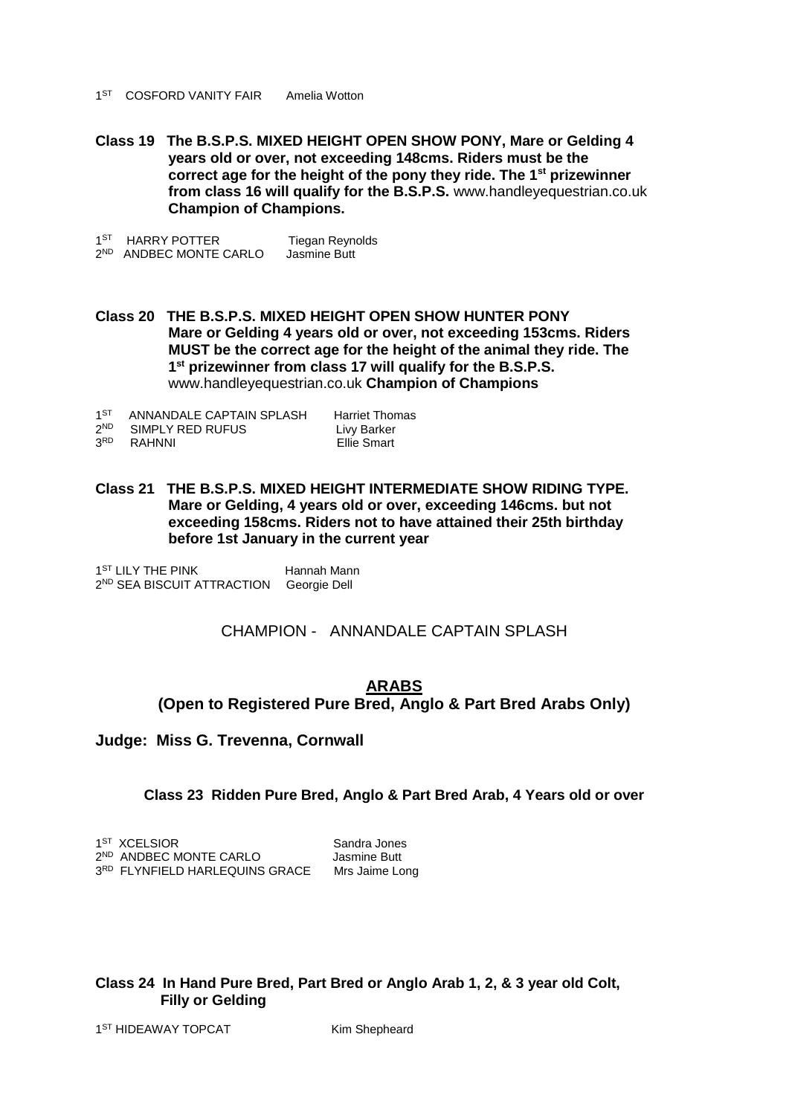- 1<sup>ST</sup> COSFORD VANITY FAIR Amelia Wotton
- **Class 19 The B.S.P.S. MIXED HEIGHT OPEN SHOW PONY, Mare or Gelding 4 years old or over, not exceeding 148cms. Riders must be the correct age for the height of the pony they ride. The 1st prizewinner from class 16 will qualify for the B.S.P.S.** www.handleyequestrian.co.uk  **Champion of Champions.**

1<sup>ST</sup> HARRY POTTER Tiegan Reynolds 2<sup>ND</sup> ANDBEC MONTE CARLO Jasmine Butt

**Class 20 THE B.S.P.S. MIXED HEIGHT OPEN SHOW HUNTER PONY Mare or Gelding 4 years old or over, not exceeding 153cms. Riders MUST be the correct age for the height of the animal they ride. The 1 st prizewinner from class 17 will qualify for the B.S.P.S.** www.handleyequestrian.co.uk **Champion of Champions**

| 1 <sub>ST</sub> | ANNANDALE CAPTAIN SPLASH | <b>Harriet Thomas</b> |
|-----------------|--------------------------|-----------------------|
| 2ND             | SIMPLY RED RUFUS         | Livy Barker           |
| 3 <sub>RD</sub> | RAHNNI                   | Ellie Smart           |

**Class 21 THE B.S.P.S. MIXED HEIGHT INTERMEDIATE SHOW RIDING TYPE. Mare or Gelding, 4 years old or over, exceeding 146cms. but not exceeding 158cms. Riders not to have attained their 25th birthday before 1st January in the current year**

1<sup>ST</sup> LILY THE PINK Hannah Mann 2 ND SEA BISCUIT ATTRACTION Georgie Dell

CHAMPION - ANNANDALE CAPTAIN SPLASH

# **ARABS (Open to Registered Pure Bred, Anglo & Part Bred Arabs Only)**

**Judge: Miss G. Trevenna, Cornwall**

**Class 23 Ridden Pure Bred, Anglo & Part Bred Arab, 4 Years old or over**

| 1 <sup>ST</sup> XCELSIOR           | Sandra Jones   |
|------------------------------------|----------------|
| 2 <sup>ND</sup> ANDBEC MONTE CARLO | Jasmine Butt   |
| 3RD FLYNFIELD HARLEQUINS GRACE     | Mrs Jaime Long |

## **Class 24 In Hand Pure Bred, Part Bred or Anglo Arab 1, 2, & 3 year old Colt, Filly or Gelding**

1<sup>ST</sup> HIDEAWAY TOPCAT Kim Shepheard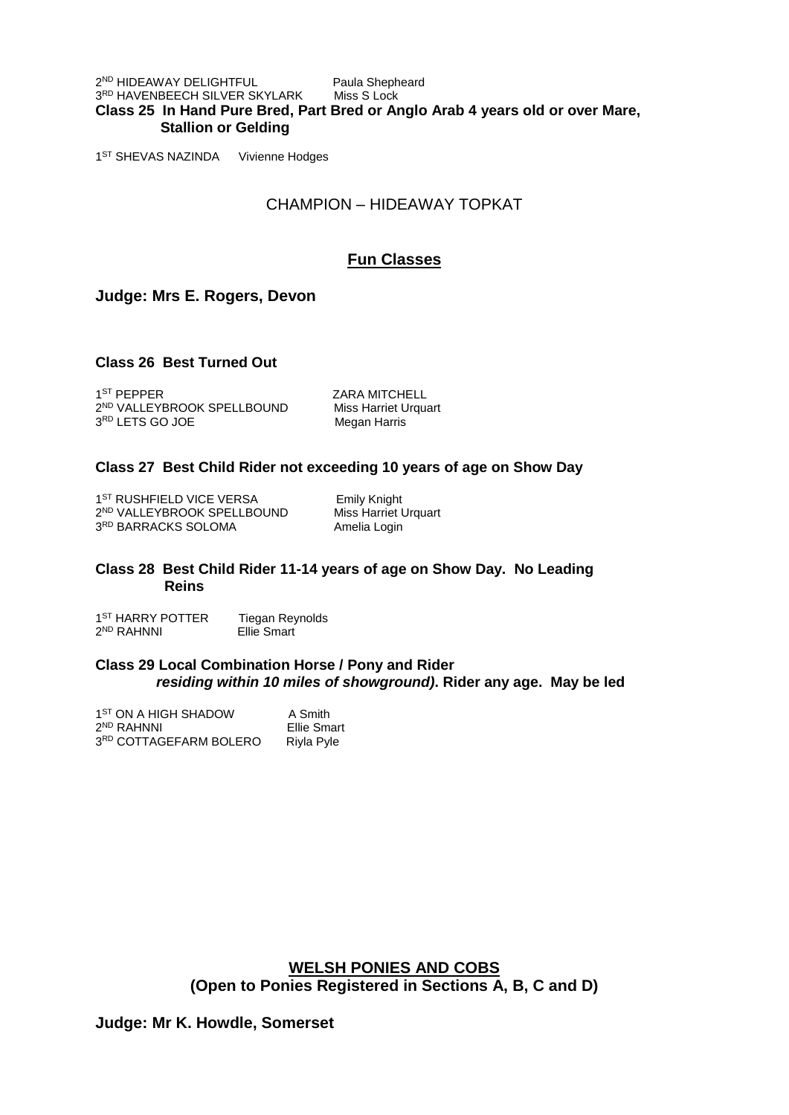2 ND HIDEAWAY DELIGHTFUL Paula Shepheard 3<sup>RD</sup> HAVENBEECH SILVER SKYLARK Miss S Lock **Class 25 In Hand Pure Bred, Part Bred or Anglo Arab 4 years old or over Mare, Stallion or Gelding** 

1<sup>ST</sup> SHEVAS NAZINDA Vivienne Hodges

# CHAMPION – HIDEAWAY TOPKAT

# **Fun Classes**

## **Judge: Mrs E. Rogers, Devon**

## **Class 26 Best Turned Out**

1<sup>ST</sup> PEPPER 2<sup>ND</sup> VALLEYBROOK SPELLBOUND Miss Harriet Urquart 3<sup>RD</sup> LETS GO JOE Megan Harris

ZARA MITCHELL

#### **Class 27 Best Child Rider not exceeding 10 years of age on Show Day**

1<sup>ST</sup> RUSHFIELD VICE VERSA Emily Knight 2 ND VALLEYBROOK SPELLBOUND Miss Harriet Urquart 3RD BARRACKS SOLOMA Amelia Login

#### **Class 28 Best Child Rider 11-14 years of age on Show Day. No Leading Reins**

1<sup>ST</sup> HARRY POTTER Tiegan Reynolds 2 ND RAHNNI Ellie Smart

#### **Class 29 Local Combination Horse / Pony and Rider** *residing within 10 miles of showground)***. Rider any age. May be led**

| 1 <sup>ST</sup> ON A HIGH SHADOW   | A Smith     |
|------------------------------------|-------------|
| 2 <sup>ND</sup> RAHNNI             | Ellie Smart |
| 3 <sup>RD</sup> COTTAGEFARM BOLERO | Riyla Pyle  |

**WELSH PONIES AND COBS (Open to Ponies Registered in Sections A, B, C and D)**

## **Judge: Mr K. Howdle, Somerset**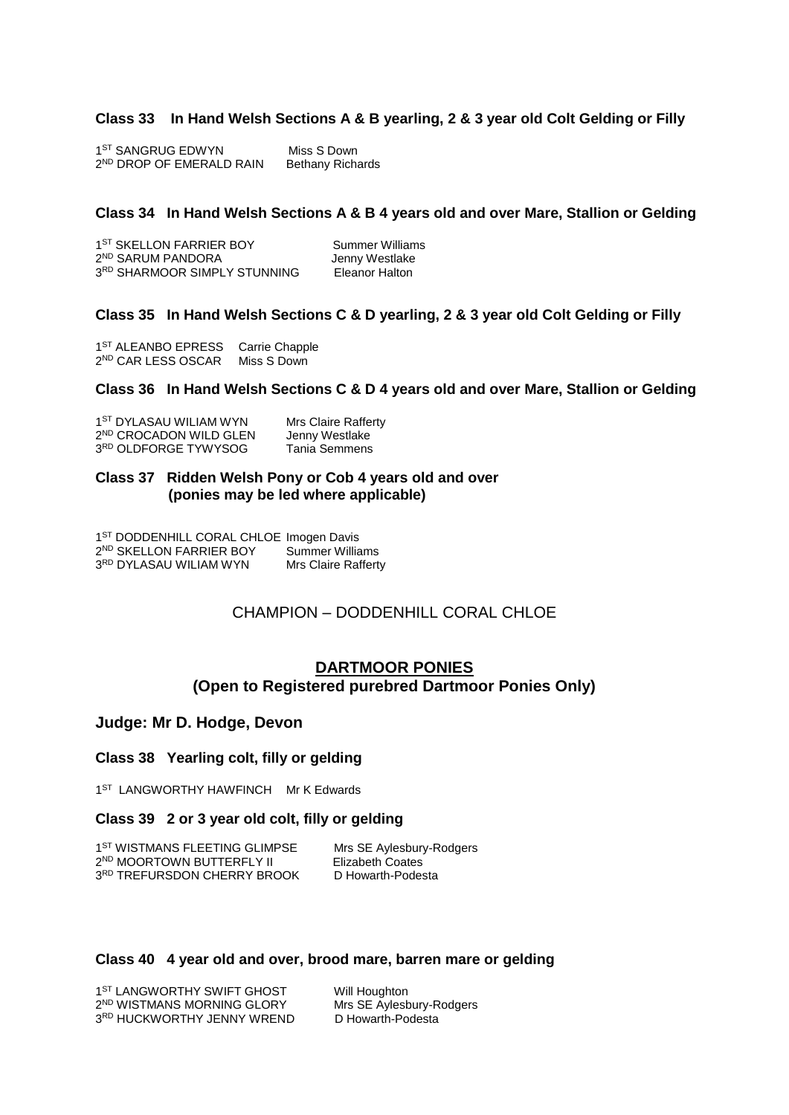## **Class 33 In Hand Welsh Sections A & B yearling, 2 & 3 year old Colt Gelding or Filly**

| 1ST SANGRUG EDWYN                    | Miss S Down             |
|--------------------------------------|-------------------------|
| 2 <sup>ND</sup> DROP OF EMERALD RAIN | <b>Bethany Richards</b> |

#### **Class 34 In Hand Welsh Sections A & B 4 years old and over Mare, Stallion or Gelding**

| 1 <sup>ST</sup> SKELLON FARRIER BOY | Summer Williams |
|-------------------------------------|-----------------|
| 2 <sup>ND</sup> SARUM PANDORA       | Jenny Westlake  |
| 3RD SHARMOOR SIMPLY STUNNING        | Eleanor Halton  |

#### **Class 35 In Hand Welsh Sections C & D yearling, 2 & 3 year old Colt Gelding or Filly**

1<sup>ST</sup> ALEANBO EPRESS Carrie Chapple 2 ND CAR LESS OSCAR Miss S Down

#### **Class 36 In Hand Welsh Sections C & D 4 years old and over Mare, Stallion or Gelding**

| 1 <sup>ST</sup> DYLASAU WILIAM WYN | <b>Mrs Claire Rafferty</b> |
|------------------------------------|----------------------------|
| 2 <sup>ND</sup> CROCADON WILD GLEN | Jenny Westlake             |
| 3 <sup>RD</sup> OLDFORGE TYWYSOG   | Tania Semmens              |

#### **Class 37 Ridden Welsh Pony or Cob 4 years old and over (ponies may be led where applicable)**

1<sup>ST</sup> DODDENHILL CORAL CHLOE Imogen Davis 2 ND SKELLON FARRIER BOY Summer Williams 3<sup>RD</sup> DYLASAU WILIAM WYN Mrs Claire Rafferty

## CHAMPION – DODDENHILL CORAL CHLOE

## **DARTMOOR PONIES (Open to Registered purebred Dartmoor Ponies Only)**

## **Judge: Mr D. Hodge, Devon**

#### **Class 38 Yearling colt, filly or gelding**

1<sup>ST</sup> LANGWORTHY HAWFINCH Mr K Edwards

## **Class 39 2 or 3 year old colt, filly or gelding**

1<sup>ST</sup> WISTMANS FLEETING GLIMPSE Mrs SE Aylesbury-Rodgers 2<sup>ND</sup> MOORTOWN BUTTERFLY II Flizabeth Coates 3RD TREFURSDON CHERRY BROOK D Howarth-Podesta

## **Class 40 4 year old and over, brood mare, barren mare or gelding**

| 1 <sup>ST</sup> LANGWORTHY SWIFT GHOST |
|----------------------------------------|
| 2 <sup>ND</sup> WISTMANS MORNING GLORY |
| 3 <sup>RD</sup> HUCKWORTHY JENNY WREND |

Will Houghton Mrs SE Aylesbury-Rodgers D Howarth-Podesta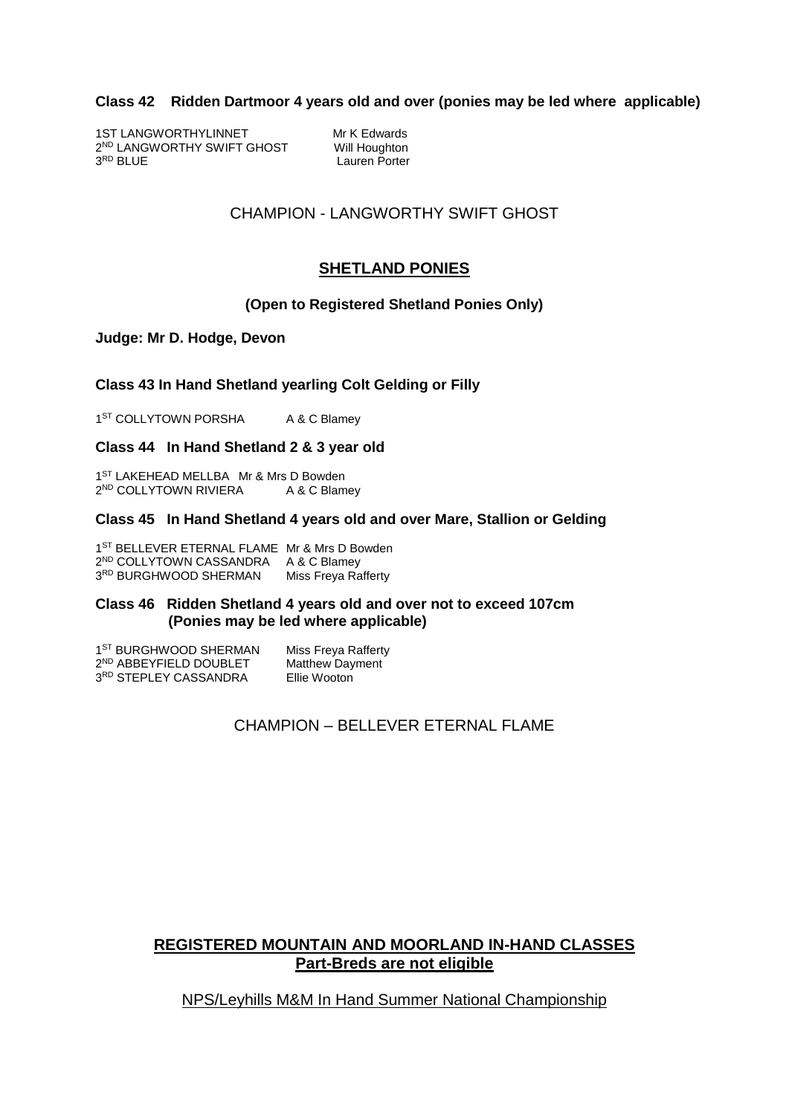## **Class 42 Ridden Dartmoor 4 years old and over (ponies may be led where applicable)**

1ST LANGWORTHYLINNET Mr K Edwards 2<sup>ND</sup> LANGWORTHY SWIFT GHOST Will Houghton 3RD BLUE

Lauren Porter

# CHAMPION - LANGWORTHY SWIFT GHOST

# **SHETLAND PONIES**

## **(Open to Registered Shetland Ponies Only)**

**Judge: Mr D. Hodge, Devon**

## **Class 43 In Hand Shetland yearling Colt Gelding or Filly**

1<sup>ST</sup> COLLYTOWN PORSHA A & C Blamey

#### **Class 44 In Hand Shetland 2 & 3 year old**

1<sup>ST</sup> LAKEHEAD MELLBA Mr & Mrs D Bowden 2<sup>ND</sup> COLLYTOWN RIVIERA A & C Blamey

#### **Class 45 In Hand Shetland 4 years old and over Mare, Stallion or Gelding**

1<sup>ST</sup> BELLEVER ETERNAL FLAME Mr & Mrs D Bowden 2 ND COLLYTOWN CASSANDRA A & C Blamey 3RD BURGHWOOD SHERMAN Miss Freya Rafferty

#### **Class 46 Ridden Shetland 4 years old and over not to exceed 107cm (Ponies may be led where applicable)**

| 1 <sup>ST</sup> BURGHWOOD SHERMAN  | Miss Freya Rafferty    |
|------------------------------------|------------------------|
| 2 <sup>ND</sup> ABBEYFIELD DOUBLET | <b>Matthew Dayment</b> |
| 3 <sup>RD</sup> STEPLEY CASSANDRA  | Ellie Wooton           |

CHAMPION – BELLEVER ETERNAL FLAME

# **REGISTERED MOUNTAIN AND MOORLAND IN-HAND CLASSES Part-Breds are not eligible**

## NPS/Leyhills M&M In Hand Summer National Championship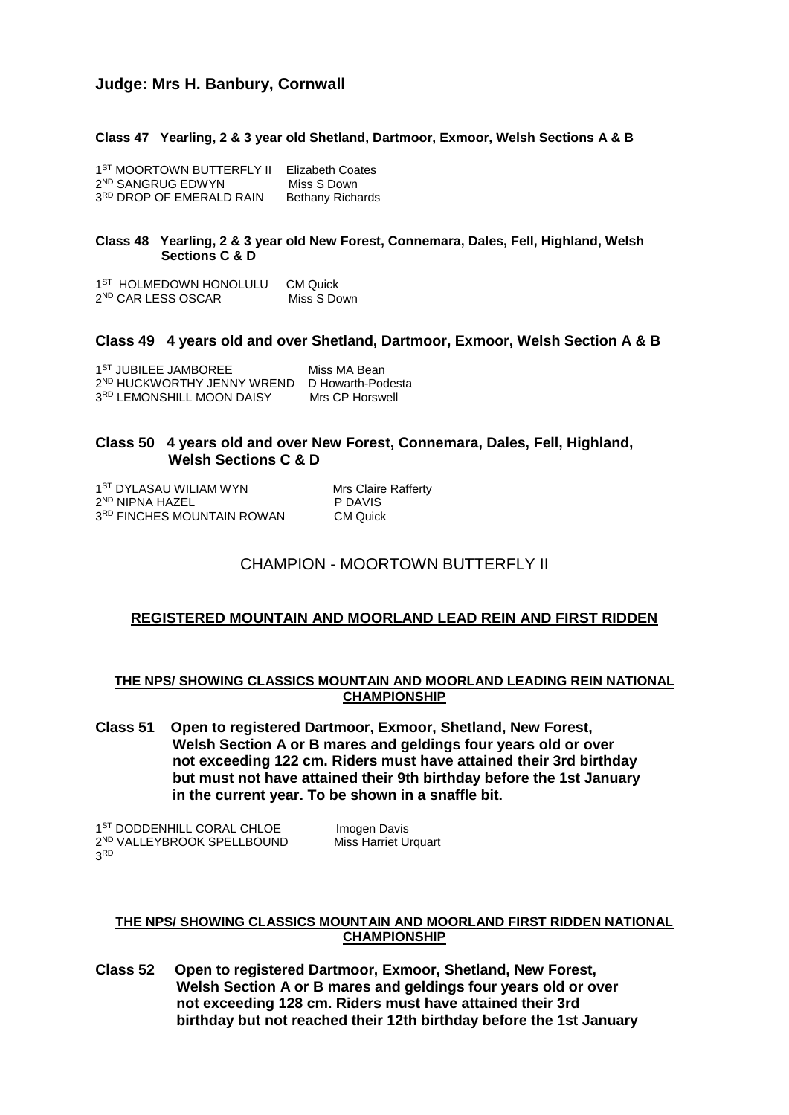# **Judge: Mrs H. Banbury, Cornwall**

#### **Class 47 Yearling, 2 & 3 year old Shetland, Dartmoor, Exmoor, Welsh Sections A & B**

| 1 <sup>ST</sup> MOORTOWN BUTTERFLY II | Elizabeth Coates        |
|---------------------------------------|-------------------------|
| 2 <sup>ND</sup> SANGRUG EDWYN         | Miss S Down             |
| 3RD DROP OF EMERALD RAIN              | <b>Bethany Richards</b> |

#### **Class 48 Yearling, 2 & 3 year old New Forest, Connemara, Dales, Fell, Highland, Welsh Sections C & D**

1<sup>ST</sup> HOLMEDOWN HONOLULU CM Quick 2<sup>ND</sup> CAR LESS OSCAR Miss S Down

#### **Class 49 4 years old and over Shetland, Dartmoor, Exmoor, Welsh Section A & B**

| 1 <sup>ST</sup> JUBILEE JAMBOREE                         | Miss MA Bean    |
|----------------------------------------------------------|-----------------|
| 2 <sup>ND</sup> HUCKWORTHY JENNY WREND D Howarth-Podesta |                 |
| 3RD LEMONSHILL MOON DAISY                                | Mrs CP Horswell |

#### **Class 50 4 years old and over New Forest, Connemara, Dales, Fell, Highland, Welsh Sections C & D**

1<sup>ST</sup> DYLASAU WILIAM WYN Mrs Claire Rafferty 2<sup>ND</sup> NIPNA HAZEL P DAVIS 3RD FINCHES MOUNTAIN ROWAN CM Quick

## CHAMPION - MOORTOWN BUTTERFLY II

#### **REGISTERED MOUNTAIN AND MOORLAND LEAD REIN AND FIRST RIDDEN**

#### **THE NPS/ SHOWING CLASSICS MOUNTAIN AND MOORLAND LEADING REIN NATIONAL CHAMPIONSHIP**

**Class 51 Open to registered Dartmoor, Exmoor, Shetland, New Forest, Welsh Section A or B mares and geldings four years old or over not exceeding 122 cm. Riders must have attained their 3rd birthday but must not have attained their 9th birthday before the 1st January in the current year. To be shown in a snaffle bit.**

1<sup>ST</sup> DODDENHILL CORAL CHLOE **Imogen** Davis 2<sup>ND</sup> VALLEYBROOK SPELLBOUND Miss Harriet Urquart 3 RD

#### **THE NPS/ SHOWING CLASSICS MOUNTAIN AND MOORLAND FIRST RIDDEN NATIONAL CHAMPIONSHIP**

**Class 52 Open to registered Dartmoor, Exmoor, Shetland, New Forest, Welsh Section A or B mares and geldings four years old or over not exceeding 128 cm. Riders must have attained their 3rd birthday but not reached their 12th birthday before the 1st January**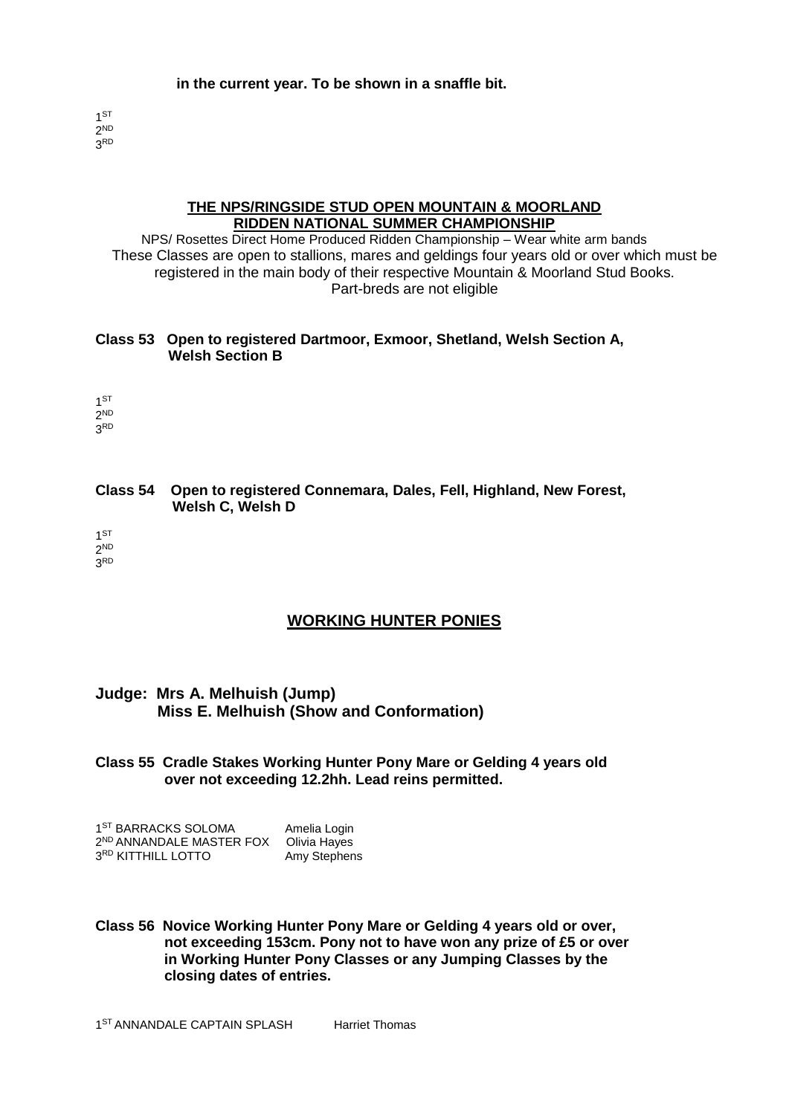## **in the current year. To be shown in a snaffle bit.**

1 ST 2 ND 3 RD

#### **THE NPS/RINGSIDE STUD OPEN MOUNTAIN & MOORLAND RIDDEN NATIONAL SUMMER CHAMPIONSHIP**

NPS/ Rosettes Direct Home Produced Ridden Championship – Wear white arm bands These Classes are open to stallions, mares and geldings four years old or over which must be registered in the main body of their respective Mountain & Moorland Stud Books. Part-breds are not eligible

## **Class 53 Open to registered Dartmoor, Exmoor, Shetland, Welsh Section A, Welsh Section B**

1 ST 2 ND 3 RD

## **Class 54 Open to registered Connemara, Dales, Fell, Highland, New Forest, Welsh C, Welsh D**

1 ST 2 ND 3 RD

# **WORKING HUNTER PONIES**

# **Judge: Mrs A. Melhuish (Jump) Miss E. Melhuish (Show and Conformation)**

**Class 55 Cradle Stakes Working Hunter Pony Mare or Gelding 4 years old over not exceeding 12.2hh. Lead reins permitted.**

1<sup>ST</sup> BARRACKS SOLOMA Amelia Login 2 ND ANNANDALE MASTER FOX Olivia Hayes 3RD KITTHILL LOTTO Amy Stephens

**Class 56 Novice Working Hunter Pony Mare or Gelding 4 years old or over, not exceeding 153cm. Pony not to have won any prize of £5 or over in Working Hunter Pony Classes or any Jumping Classes by the closing dates of entries.**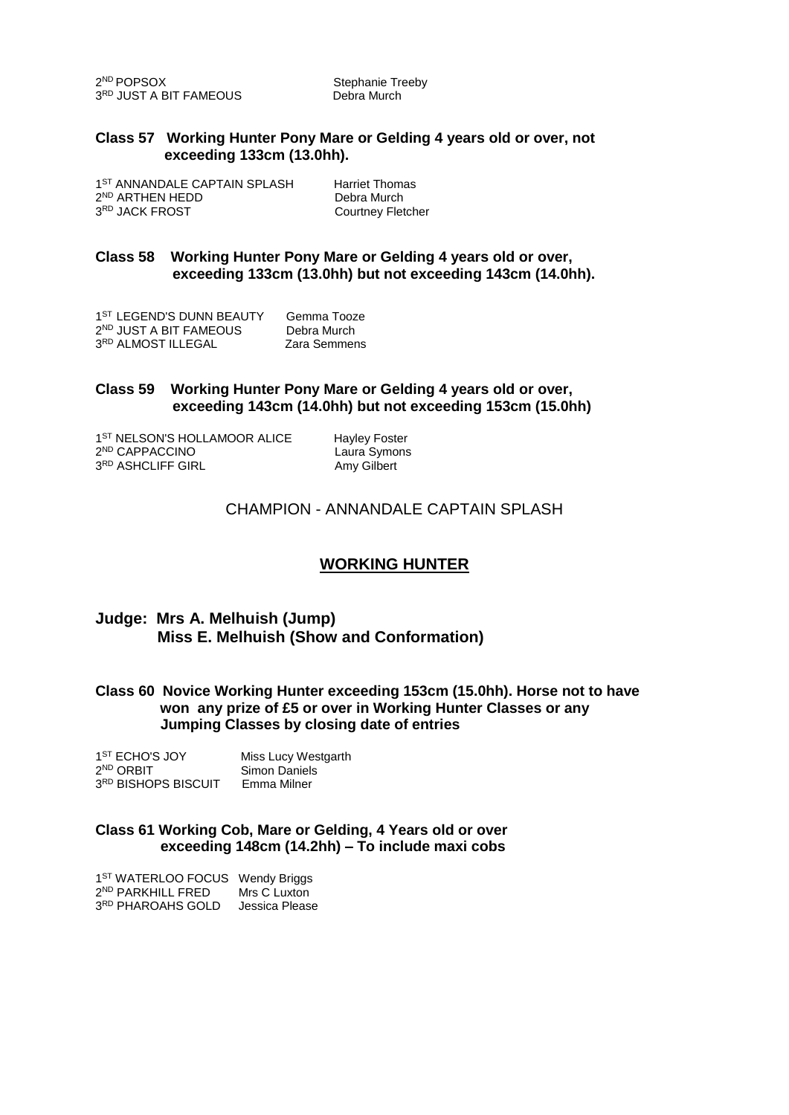2<sup>ND</sup> POPSOX 3<sup>RD</sup> JUST A BIT FAMEOUS Debra Murch

Stephanie Treeby

#### **Class 57 Working Hunter Pony Mare or Gelding 4 years old or over, not exceeding 133cm (13.0hh).**

1<sup>ST</sup> ANNANDALE CAPTAIN SPLASH Harriet Thomas 2<sup>ND</sup> ARTHEN HEDD Debra Murch 3RD JACK FROST Courtney Fletcher

## **Class 58 Working Hunter Pony Mare or Gelding 4 years old or over, exceeding 133cm (13.0hh) but not exceeding 143cm (14.0hh).**

1<sup>ST</sup> LEGEND'S DUNN BEAUTY Gemma Tooze 2<sup>ND</sup> JUST A BIT FAMEOUS Debra Murch 3<sup>RD</sup> ALMOST ILLEGAL Zara Semmens

#### **Class 59 Working Hunter Pony Mare or Gelding 4 years old or over, exceeding 143cm (14.0hh) but not exceeding 153cm (15.0hh)**

1<sup>ST</sup> NELSON'S HOLLAMOOR ALICE Hayley Foster 2 ND CAPPACCINO Laura Symons 3<sup>RD</sup> ASHCLIFF GIRL **AMY Gilbert** 

# CHAMPION - ANNANDALE CAPTAIN SPLASH

# **WORKING HUNTER**

## **Judge: Mrs A. Melhuish (Jump) Miss E. Melhuish (Show and Conformation)**

## **Class 60 Novice Working Hunter exceeding 153cm (15.0hh). Horse not to have won any prize of £5 or over in Working Hunter Classes or any Jumping Classes by closing date of entries**

| 1 <sup>ST</sup> ECHO'S JOY      | Miss Lucy Westgarth |
|---------------------------------|---------------------|
| 2 <sup>ND</sup> ORBIT           | Simon Daniels       |
| 3 <sup>RD</sup> BISHOPS BISCUIT | Emma Milner         |

## **Class 61 Working Cob, Mare or Gelding, 4 Years old or over exceeding 148cm (14.2hh) – To include maxi cobs**

| 1 <sup>ST</sup> WATERLOO FOCUS Wendy Briggs |                |
|---------------------------------------------|----------------|
| 2 <sup>ND</sup> PARKHILL FRED               | Mrs C Luxton   |
| 3 <sup>RD</sup> PHAROAHS GOLD               | Jessica Please |